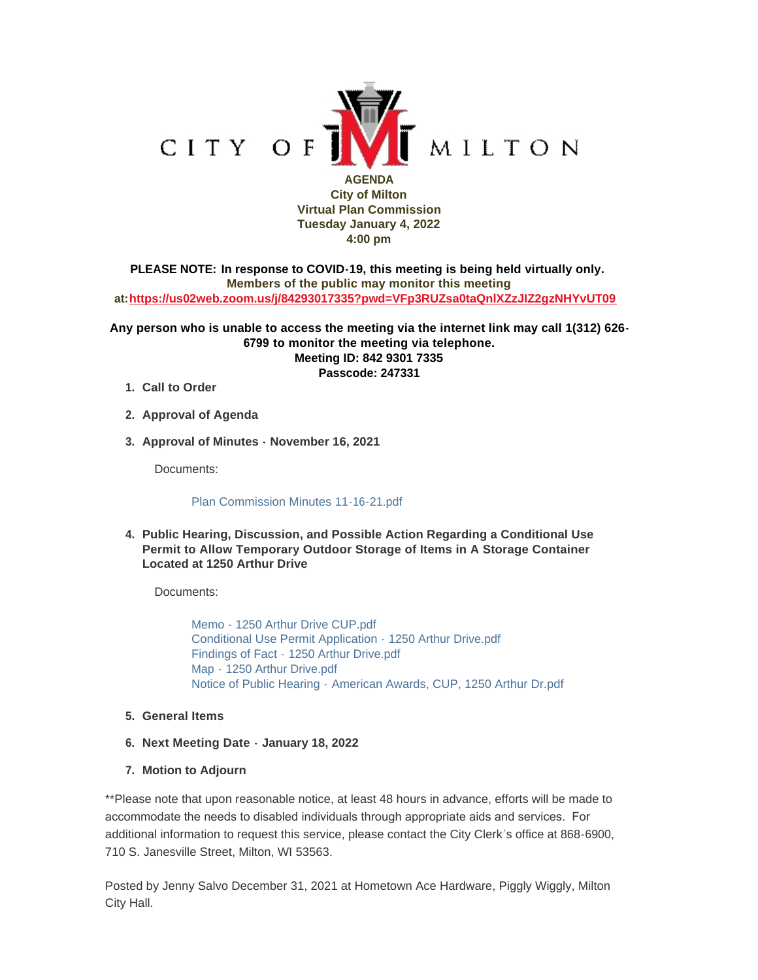

**City of Milton Virtual Plan Commission Tuesday January 4, 2022 4:00 pm**

**PLEASE NOTE: In response to COVID-19, this meeting is being held virtually only. Members of the public may monitor this meeting at:<https://us02web.zoom.us/j/84293017335?pwd=VFp3RUZsa0taQnlXZzJIZ2gzNHYvUT09>**

**Any person who is unable to access the meeting via the internet link may call 1(312) 626- 6799 to monitor the meeting via telephone. Meeting ID: 842 9301 7335 Passcode: 247331**

- **Call to Order 1.**
- **Approval of Agenda 2.**
- **Approval of Minutes November 16, 2021 3.**

Documents:

## [Plan Commission Minutes 11-16-21.pdf](https://www.milton-wi.gov/AgendaCenter/ViewFile/Item/9347?fileID=7156)

**Public Hearing, Discussion, and Possible Action Regarding a Conditional Use 4. Permit to Allow Temporary Outdoor Storage of Items in A Storage Container Located at 1250 Arthur Drive**

Documents:

[Memo - 1250 Arthur Drive CUP.pdf](https://www.milton-wi.gov/AgendaCenter/ViewFile/Item/9348?fileID=7153) [Conditional Use Permit Application - 1250 Arthur Drive.pdf](https://www.milton-wi.gov/AgendaCenter/ViewFile/Item/9348?fileID=7151) [Findings of Fact - 1250 Arthur Drive.pdf](https://www.milton-wi.gov/AgendaCenter/ViewFile/Item/9348?fileID=7152) Map - [1250 Arthur Drive.pdf](https://www.milton-wi.gov/AgendaCenter/ViewFile/Item/9348?fileID=7154) Notice of Public Hearing - [American Awards, CUP, 1250 Arthur Dr.pdf](https://www.milton-wi.gov/AgendaCenter/ViewFile/Item/9348?fileID=7149)

- **General Items 5.**
- **Next Meeting Date - January 18, 2022 6.**
- **Motion to Adjourn 7.**

\*\*Please note that upon reasonable notice, at least 48 hours in advance, efforts will be made to accommodate the needs to disabled individuals through appropriate aids and services. For additional information to request this service, please contact the City Clerk's office at 868-6900, 710 S. Janesville Street, Milton, WI 53563.

Posted by Jenny Salvo December 31, 2021 at Hometown Ace Hardware, Piggly Wiggly, Milton City Hall.